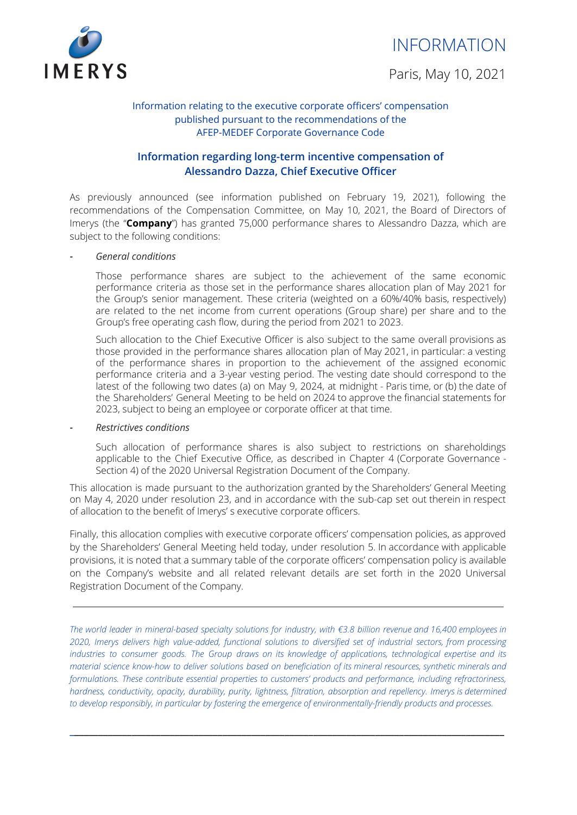

Paris, May 10, 2021



## Information relating to the executive corporate officers' compensation published pursuant to the recommendations of the AFEP-MEDEF Corporate Governance Code

# **Information regarding long-term incentive compensation of Alessandro Dazza, Chief Executive Officer**

As previously announced (see information published on February 19, 2021), following the recommendations of the Compensation Committee, on May 10, 2021, the Board of Directors of Imerys (the "**Company**") has granted 75,000 performance shares to Alessandro Dazza, which are subject to the following conditions:

## *- General conditions*

Those performance shares are subject to the achievement of the same economic performance criteria as those set in the performance shares allocation plan of May 2021 for the Group's senior management. These criteria (weighted on a 60%/40% basis, respectively) are related to the net income from current operations (Group share) per share and to the Group's free operating cash flow, during the period from 2021 to 2023.

Such allocation to the Chief Executive Officer is also subject to the same overall provisions as those provided in the performance shares allocation plan of May 2021, in particular: a vesting of the performance shares in proportion to the achievement of the assigned economic performance criteria and a 3-year vesting period. The vesting date should correspond to the latest of the following two dates (a) on May 9, 2024, at midnight - Paris time, or (b) the date of the Shareholders' General Meeting to be held on 2024 to approve the financial statements for 2023, subject to being an employee or corporate officer at that time.

### *- Restrictives conditions*

Such allocation of performance shares is also subject to restrictions on shareholdings applicable to the Chief Executive Office, as described in Chapter 4 (Corporate Governance - Section 4) of the 2020 Universal Registration Document of the Company.

This allocation is made pursuant to the authorization granted by the Shareholders' General Meeting on May 4, 2020 under resolution 23, and in accordance with the sub-cap set out therein in respect of allocation to the benefit of Imerys' s executive corporate officers.

Finally, this allocation complies with executive corporate officers' compensation policies, as approved by the Shareholders' General Meeting held today, under resolution 5. In accordance with applicable provisions, it is noted that a summary table of the corporate officers' compensation policy is available on the Company's website and all related relevant details are set forth in the 2020 Universal Registration Document of the Company.

The world leader in mineral-based specialty solutions for industry, with €3.8 billion revenue and 16,400 employees in *2020, Imerys delivers high value-added, functional solutions to diversified set of industrial sectors, from processing industries to consumer goods. The Group draws on its knowledge of applications, technological expertise and its* material science know-how to deliver solutions based on beneficiation of its mineral resources, synthetic minerals and *formulations. These contribute essential properties to customers' products and performance, including refractoriness, hardness, conductivity, opacity, durability, purity, lightness, filtration, absorption and repellency. Imerys is determined to develop responsibly, in particular by fostering the emergence of environmentally-friendly products and processes.*

**\_\_\_\_\_\_\_\_\_\_\_\_\_\_\_\_\_\_\_\_\_\_\_\_\_\_\_\_\_\_\_\_\_\_\_\_\_\_\_\_\_\_\_\_\_\_\_\_\_\_\_\_\_\_\_\_\_\_\_\_\_\_\_\_\_\_\_\_\_\_\_\_\_\_\_\_\_\_\_\_\_\_\_\_\_\_\_\_\_\_\_**